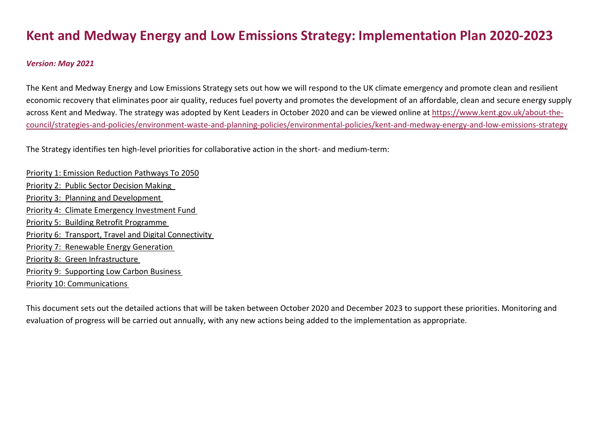# **Kent and Medway Energy and Low Emissions Strategy: Implementation Plan 2020-2023**

# *Version: May 2021*

The Kent and Medway Energy and Low Emissions Strategy sets out how we will respond to the UK climate emergency and promote clean and resilient economic recovery that eliminates poor air quality, reduces fuel poverty and promotes the development of an affordable, clean and secure energy supply across Kent and Medway. The strategy was adopted by Kent Leaders in October 2020 and can be viewed online at [https://www.kent.gov.uk/about-the](https://www.kent.gov.uk/about-the-council/strategies-and-policies/environment-waste-and-planning-policies/environmental-policies/kent-and-medway-energy-and-low-emissions-strategy)[council/strategies-and-policies/environment-waste-and-planning-policies/environmental-policies/kent-and-medway-energy-and-low-emissions-strategy](https://www.kent.gov.uk/about-the-council/strategies-and-policies/environment-waste-and-planning-policies/environmental-policies/kent-and-medway-energy-and-low-emissions-strategy)

The Strategy identifies ten high-level priorities for collaborative action in the short- and medium-term:

[Priority 1: Emission Reduction Pathways To 2050](#page-1-0) Priority 2: Public Sector Decision Making Priority 3: [Planning and Development](#page-4-0) Priority 4: [Climate Emergency Investment Fund](#page-6-0) Priority 5: [Building Retrofit Programme](#page-9-0) Priority 6: [Transport, Travel and Digital Connectivity](#page-12-0) Priority 7: [Renewable Energy Generation](#page-16-0) Priority 8: [Green Infrastructure](#page-18-0) Priority 9: Supporting [Low Carbon Business](#page-19-0) Priority 10: [Communications](#page-20-0)

This document sets out the detailed actions that will be taken between October 2020 and December 2023 to support these priorities. Monitoring and evaluation of progress will be carried out annually, with any new actions being added to the implementation as appropriate.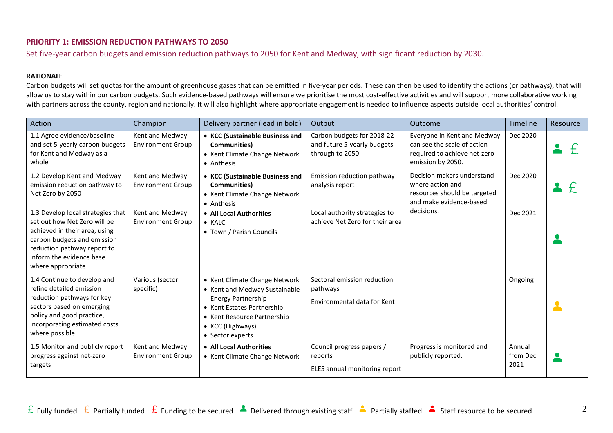## <span id="page-1-0"></span>**PRIORITY 1: EMISSION REDUCTION PATHWAYS TO 2050**

Set five-year carbon budgets and emission reduction pathways to 2050 for Kent and Medway, with significant reduction by 2030.

#### **RATIONALE**

Carbon budgets will set quotas for the amount of greenhouse gases that can be emitted in five-year periods. These can then be used to identify the actions (or pathways), that will allow us to stay within our carbon budgets. Such evidence-based pathways will ensure we prioritise the most cost-effective activities and will support more collaborative working with partners across the county, region and nationally. It will also highlight where appropriate engagement is needed to influence aspects outside local authorities' control.

| Action                                                                                                                                                                                                            | Champion                                    | Delivery partner (lead in bold)                                                                                                                                                           | Output                                                                       | Outcome                                                                                                         | Timeline                   | Resource   |
|-------------------------------------------------------------------------------------------------------------------------------------------------------------------------------------------------------------------|---------------------------------------------|-------------------------------------------------------------------------------------------------------------------------------------------------------------------------------------------|------------------------------------------------------------------------------|-----------------------------------------------------------------------------------------------------------------|----------------------------|------------|
| 1.1 Agree evidence/baseline<br>and set 5-yearly carbon budgets<br>for Kent and Medway as a<br>whole                                                                                                               | Kent and Medway<br><b>Environment Group</b> | • KCC (Sustainable Business and<br><b>Communities</b> )<br>• Kent Climate Change Network<br>• Anthesis                                                                                    | Carbon budgets for 2018-22<br>and future 5-yearly budgets<br>through to 2050 | Everyone in Kent and Medway<br>can see the scale of action<br>required to achieve net-zero<br>emission by 2050. | Dec 2020                   |            |
| 1.2 Develop Kent and Medway<br>emission reduction pathway to<br>Net Zero by 2050                                                                                                                                  | Kent and Medway<br><b>Environment Group</b> | • KCC (Sustainable Business and<br>Communities)<br>• Kent Climate Change Network<br>• Anthesis                                                                                            | Emission reduction pathway<br>analysis report                                | Decision makers understand<br>where action and<br>resources should be targeted<br>and make evidence-based       | Dec 2020                   |            |
| 1.3 Develop local strategies that<br>set out how Net Zero will be<br>achieved in their area, using<br>carbon budgets and emission<br>reduction pathway report to<br>inform the evidence base<br>where appropriate | Kent and Medway<br><b>Environment Group</b> | • All Local Authorities<br>$\bullet$ KALC<br>• Town / Parish Councils                                                                                                                     | Local authority strategies to<br>achieve Net Zero for their area             | decisions.                                                                                                      | Dec 2021                   |            |
| 1.4 Continue to develop and<br>refine detailed emission<br>reduction pathways for key<br>sectors based on emerging<br>policy and good practice,<br>incorporating estimated costs<br>where possible                | Various (sector<br>specific)                | • Kent Climate Change Network<br>• Kent and Medway Sustainable<br>Energy Partnership<br>• Kent Estates Partnership<br>• Kent Resource Partnership<br>• KCC (Highways)<br>• Sector experts | Sectoral emission reduction<br>pathways<br>Environmental data for Kent       |                                                                                                                 | Ongoing                    | <b>COL</b> |
| 1.5 Monitor and publicly report<br>progress against net-zero<br>targets                                                                                                                                           | Kent and Medway<br><b>Environment Group</b> | • All Local Authorities<br>• Kent Climate Change Network                                                                                                                                  | Council progress papers /<br>reports<br>ELES annual monitoring report        | Progress is monitored and<br>publicly reported.                                                                 | Annual<br>from Dec<br>2021 |            |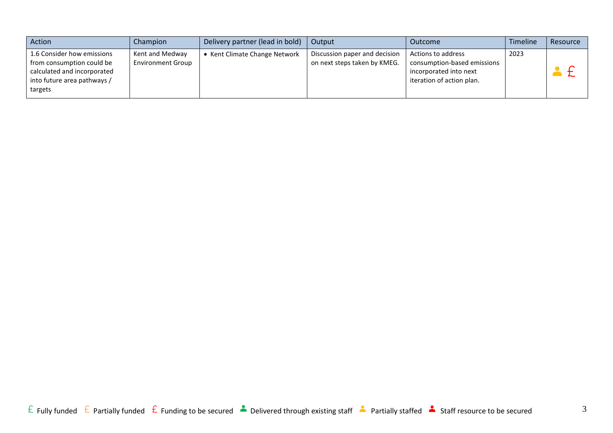| Action                                                                                                                           | Champion                                    | Delivery partner (lead in bold)    | Output                                                        | Outcome                                                                                                  | Timeline | Resource |
|----------------------------------------------------------------------------------------------------------------------------------|---------------------------------------------|------------------------------------|---------------------------------------------------------------|----------------------------------------------------------------------------------------------------------|----------|----------|
| 1.6 Consider how emissions<br>from consumption could be<br>calculated and incorporated<br>into future area pathways /<br>targets | Kent and Medway<br><b>Environment Group</b> | <b>Kent Climate Change Network</b> | Discussion paper and decision<br>on next steps taken by KMEG. | Actions to address<br>consumption-based emissions<br>incorporated into next<br>iteration of action plan. | 2023     |          |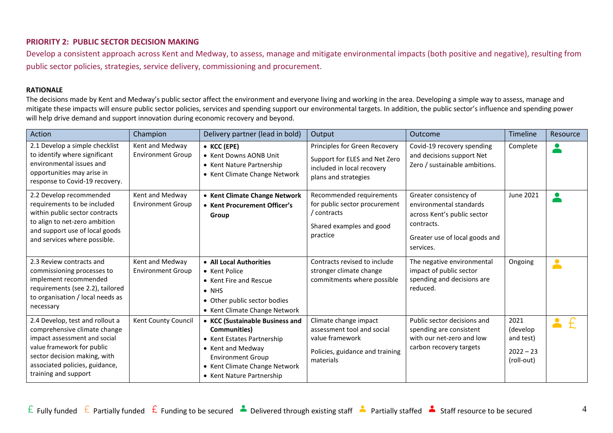## **PRIORITY 2: PUBLIC SECTOR DECISION MAKING**

Develop a consistent approach across Kent and Medway, to assess, manage and mitigate environmental impacts (both positive and negative), resulting from public sector policies, strategies, service delivery, commissioning and procurement.

#### **RATIONALE**

The decisions made by Kent and Medway's public sector affect the environment and everyone living and working in the area. Developing a simple way to assess, manage and mitigate these impacts will ensure public sector policies, services and spending support our environmental targets. In addition, the public sector's influence and spending power will help drive demand and support innovation during economic recovery and beyond.

| Action                                                                                                                                                                                                                  | Champion                                    | Delivery partner (lead in bold)                                                                                                                                                              | Output                                                                                                                 | Outcome                                                                                                                                       | Timeline                                                   | Resource                          |
|-------------------------------------------------------------------------------------------------------------------------------------------------------------------------------------------------------------------------|---------------------------------------------|----------------------------------------------------------------------------------------------------------------------------------------------------------------------------------------------|------------------------------------------------------------------------------------------------------------------------|-----------------------------------------------------------------------------------------------------------------------------------------------|------------------------------------------------------------|-----------------------------------|
| 2.1 Develop a simple checklist<br>to identify where significant<br>environmental issues and<br>opportunities may arise in<br>response to Covid-19 recovery.                                                             | Kent and Medway<br><b>Environment Group</b> | • KCC (EPE)<br>• Kent Downs AONB Unit<br>• Kent Nature Partnership<br>• Kent Climate Change Network                                                                                          | Principles for Green Recovery<br>Support for ELES and Net Zero<br>included in local recovery<br>plans and strategies   | Covid-19 recovery spending<br>and decisions support Net<br>Zero / sustainable ambitions.                                                      | Complete                                                   | $\bullet$                         |
| 2.2 Develop recommended<br>requirements to be included<br>within public sector contracts<br>to align to net-zero ambition<br>and support use of local goods<br>and services where possible.                             | Kent and Medway<br><b>Environment Group</b> | • Kent Climate Change Network<br>• Kent Procurement Officer's<br>Group                                                                                                                       | Recommended requirements<br>for public sector procurement<br>/ contracts<br>Shared examples and good<br>practice       | Greater consistency of<br>environmental standards<br>across Kent's public sector<br>contracts.<br>Greater use of local goods and<br>services. | June 2021                                                  |                                   |
| 2.3 Review contracts and<br>commissioning processes to<br>implement recommended<br>requirements (see 2.2), tailored<br>to organisation / local needs as<br>necessary                                                    | Kent and Medway<br><b>Environment Group</b> | • All Local Authorities<br>• Kent Police<br>• Kent Fire and Rescue<br>$\bullet$ NHS<br>• Other public sector bodies<br>• Kent Climate Change Network                                         | Contracts revised to include<br>stronger climate change<br>commitments where possible                                  | The negative environmental<br>impact of public sector<br>spending and decisions are<br>reduced.                                               | Ongoing                                                    | $\bullet$                         |
| 2.4 Develop, test and rollout a<br>comprehensive climate change<br>impact assessment and social<br>value framework for public<br>sector decision making, with<br>associated policies, guidance,<br>training and support | Kent County Council                         | • KCC (Sustainable Business and<br>Communities)<br>• Kent Estates Partnership<br>• Kent and Medway<br><b>Environment Group</b><br>• Kent Climate Change Network<br>• Kent Nature Partnership | Climate change impact<br>assessment tool and social<br>value framework<br>Policies, guidance and training<br>materials | Public sector decisions and<br>spending are consistent<br>with our net-zero and low<br>carbon recovery targets                                | 2021<br>(develop<br>and test)<br>$2022 - 23$<br>(roll-out) | $\blacktriangle$<br>$\mathcal{F}$ |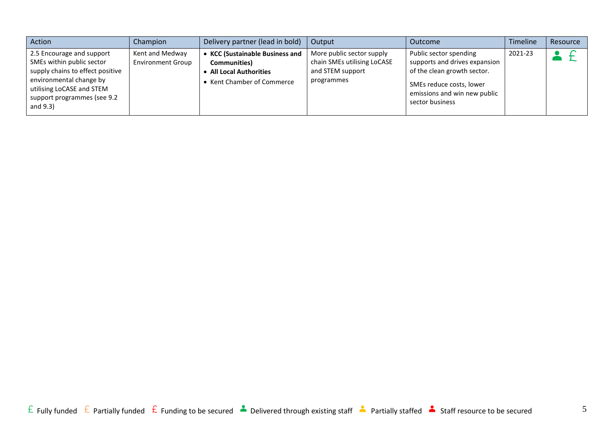<span id="page-4-0"></span>

| Action                                                                                                                                                                                        | Champion                                    | Delivery partner (lead in bold)                                                                                  | Output                                                                                     | Outcome                                                                                                                                                               | <b>Timeline</b> | Resource |
|-----------------------------------------------------------------------------------------------------------------------------------------------------------------------------------------------|---------------------------------------------|------------------------------------------------------------------------------------------------------------------|--------------------------------------------------------------------------------------------|-----------------------------------------------------------------------------------------------------------------------------------------------------------------------|-----------------|----------|
| 2.5 Encourage and support<br>SMEs within public sector<br>supply chains to effect positive<br>environmental change by<br>utilising LoCASE and STEM<br>support programmes (see 9.2<br>and 9.3) | Kent and Medway<br><b>Environment Group</b> | <b>KCC (Sustainable Business and</b><br>Communities)<br><b>All Local Authorities</b><br>Kent Chamber of Commerce | More public sector supply<br>chain SMEs utilising LoCASE<br>and STEM support<br>programmes | Public sector spending<br>supports and drives expansion<br>of the clean growth sector.<br>SMEs reduce costs, lower<br>emissions and win new public<br>sector business | 2021-23         |          |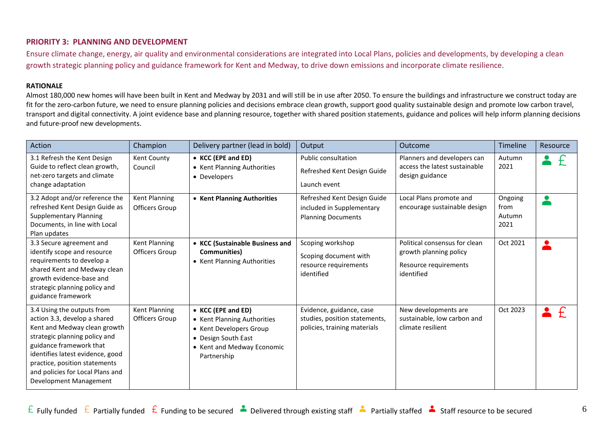## **PRIORITY 3: PLANNING AND DEVELOPMENT**

Ensure climate change, energy, air quality and environmental considerations are integrated into Local Plans, policies and developments, by developing a clean growth strategic planning policy and guidance framework for Kent and Medway, to drive down emissions and incorporate climate resilience.

#### **RATIONALE**

Almost 180,000 new homes will have been built in Kent and Medway by 2031 and will still be in use after 2050. To ensure the buildings and infrastructure we construct today are fit for the zero-carbon future, we need to ensure planning policies and decisions embrace clean growth, support good quality sustainable design and promote low carbon travel, transport and digital connectivity. A joint evidence base and planning resource, together with shared position statements, guidance and polices will help inform planning decisions and future-proof new developments.

| Action                                                                                                                                                                                                                                                                                    | Champion                        | Delivery partner (lead in bold)                                                                                                                  | Output                                                                                    | Outcome                                                                                        | Timeline                          | Resource      |
|-------------------------------------------------------------------------------------------------------------------------------------------------------------------------------------------------------------------------------------------------------------------------------------------|---------------------------------|--------------------------------------------------------------------------------------------------------------------------------------------------|-------------------------------------------------------------------------------------------|------------------------------------------------------------------------------------------------|-----------------------------------|---------------|
| 3.1 Refresh the Kent Design<br>Guide to reflect clean growth,<br>net-zero targets and climate<br>change adaptation                                                                                                                                                                        | Kent County<br>Council          | • KCC (EPE and ED)<br>• Kent Planning Authorities<br>• Developers                                                                                | <b>Public consultation</b><br>Refreshed Kent Design Guide<br>Launch event                 | Planners and developers can<br>access the latest sustainable<br>design guidance                | Autumn<br>2021                    | £             |
| 3.2 Adopt and/or reference the<br>refreshed Kent Design Guide as<br><b>Supplementary Planning</b><br>Documents, in line with Local<br>Plan updates                                                                                                                                        | Kent Planning<br>Officers Group | • Kent Planning Authorities                                                                                                                      | Refreshed Kent Design Guide<br>included in Supplementary<br><b>Planning Documents</b>     | Local Plans promote and<br>encourage sustainable design                                        | Ongoing<br>from<br>Autumn<br>2021 |               |
| 3.3 Secure agreement and<br>identify scope and resource<br>requirements to develop a<br>shared Kent and Medway clean<br>growth evidence-base and<br>strategic planning policy and<br>guidance framework                                                                                   | Kent Planning<br>Officers Group | • KCC (Sustainable Business and<br>Communities)<br>• Kent Planning Authorities                                                                   | Scoping workshop<br>Scoping document with<br>resource requirements<br>identified          | Political consensus for clean<br>growth planning policy<br>Resource requirements<br>identified | Oct 2021                          |               |
| 3.4 Using the outputs from<br>action 3.3, develop a shared<br>Kent and Medway clean growth<br>strategic planning policy and<br>guidance framework that<br>identifies latest evidence, good<br>practice, position statements<br>and policies for Local Plans and<br>Development Management | Kent Planning<br>Officers Group | • KCC (EPE and ED)<br>• Kent Planning Authorities<br>• Kent Developers Group<br>• Design South East<br>• Kent and Medway Economic<br>Partnership | Evidence, guidance, case<br>studies, position statements,<br>policies, training materials | New developments are<br>sustainable, low carbon and<br>climate resilient                       | Oct 2023                          | $\mathcal{F}$ |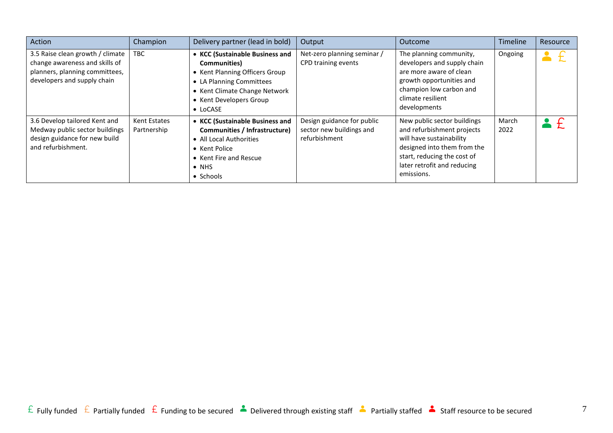<span id="page-6-0"></span>

| Action                                                                                                                              | Champion                    | Delivery partner (lead in bold)                                                                                                                                                               | Output                                                                  | Outcome                                                                                                                                                                                          | Timeline      | Resource |
|-------------------------------------------------------------------------------------------------------------------------------------|-----------------------------|-----------------------------------------------------------------------------------------------------------------------------------------------------------------------------------------------|-------------------------------------------------------------------------|--------------------------------------------------------------------------------------------------------------------------------------------------------------------------------------------------|---------------|----------|
| 3.5 Raise clean growth / climate<br>change awareness and skills of<br>planners, planning committees,<br>developers and supply chain | TBC                         | • KCC (Sustainable Business and<br><b>Communities</b> )<br>• Kent Planning Officers Group<br>• LA Planning Committees<br>• Kent Climate Change Network<br>• Kent Developers Group<br>• LoCASE | Net-zero planning seminar /<br>CPD training events                      | The planning community,<br>developers and supply chain<br>are more aware of clean<br>growth opportunities and<br>champion low carbon and<br>climate resilient<br>developments                    | Ongoing       |          |
| 3.6 Develop tailored Kent and<br>Medway public sector buildings<br>design guidance for new build<br>and refurbishment.              | Kent Estates<br>Partnership | • KCC (Sustainable Business and<br>Communities / Infrastructure)<br>• All Local Authorities<br>• Kent Police<br>• Kent Fire and Rescue<br>$\bullet$ NHS<br>• Schools                          | Design guidance for public<br>sector new buildings and<br>refurbishment | New public sector buildings<br>and refurbishment projects<br>will have sustainability<br>designed into them from the<br>start, reducing the cost of<br>later retrofit and reducing<br>emissions. | March<br>2022 |          |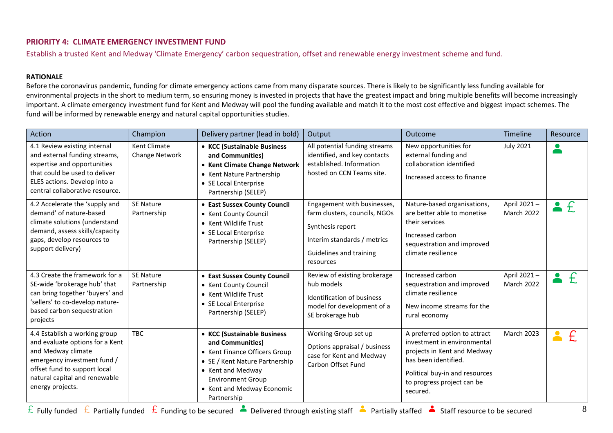# **PRIORITY 4: CLIMATE EMERGENCY INVESTMENT FUND**

Establish a trusted Kent and Medway 'Climate Emergency' carbon sequestration, offset and renewable energy investment scheme and fund.

#### **RATIONALE**

Before the coronavirus pandemic, funding for climate emergency actions came from many disparate sources. There is likely to be significantly less funding available for environmental projects in the short to medium term, so ensuring money is invested in projects that have the greatest impact and bring multiple benefits will become increasingly important. A climate emergency investment fund for Kent and Medway will pool the funding available and match it to the most cost effective and biggest impact schemes. The fund will be informed by renewable energy and natural capital opportunities studies.

| Action                                                                                                                                                                                                     | Champion                        | Delivery partner (lead in bold)                                                                                                                                                                                  | Output                                                                                                                                                  | Outcome                                                                                                                                                                                         | Timeline                  | Resource                          |
|------------------------------------------------------------------------------------------------------------------------------------------------------------------------------------------------------------|---------------------------------|------------------------------------------------------------------------------------------------------------------------------------------------------------------------------------------------------------------|---------------------------------------------------------------------------------------------------------------------------------------------------------|-------------------------------------------------------------------------------------------------------------------------------------------------------------------------------------------------|---------------------------|-----------------------------------|
| 4.1 Review existing internal<br>and external funding streams,<br>expertise and opportunities<br>that could be used to deliver<br>ELES actions. Develop into a<br>central collaborative resource.           | Kent Climate<br>Change Network  | • KCC (Sustainable Business<br>and Communities)<br>• Kent Climate Change Network<br>• Kent Nature Partnership<br>• SE Local Enterprise<br>Partnership (SELEP)                                                    | All potential funding streams<br>identified, and key contacts<br>established. Information<br>hosted on CCN Teams site.                                  | New opportunities for<br>external funding and<br>collaboration identified<br>Increased access to finance                                                                                        | <b>July 2021</b>          | $\bullet$                         |
| 4.2 Accelerate the 'supply and<br>demand' of nature-based<br>climate solutions (understand<br>demand, assess skills/capacity<br>gaps, develop resources to<br>support delivery)                            | <b>SE Nature</b><br>Partnership | • East Sussex County Council<br>• Kent County Council<br>• Kent Wildlife Trust<br>• SE Local Enterprise<br>Partnership (SELEP)                                                                                   | Engagement with businesses,<br>farm clusters, councils, NGOs<br>Synthesis report<br>Interim standards / metrics<br>Guidelines and training<br>resources | Nature-based organisations,<br>are better able to monetise<br>their services<br>Increased carbon<br>sequestration and improved<br>climate resilience                                            | April 2021-<br>March 2022 | £<br>2                            |
| 4.3 Create the framework for a<br>SE-wide 'brokerage hub' that<br>can bring together 'buyers' and<br>'sellers' to co-develop nature-<br>based carbon sequestration<br>projects                             | <b>SE Nature</b><br>Partnership | • East Sussex County Council<br>• Kent County Council<br>• Kent Wildlife Trust<br>• SE Local Enterprise<br>Partnership (SELEP)                                                                                   | Review of existing brokerage<br>hub models<br>Identification of business<br>model for development of a<br>SE brokerage hub                              | Increased carbon<br>sequestration and improved<br>climate resilience<br>New income streams for the<br>rural economy                                                                             | April 2021-<br>March 2022 | $\mathcal{F}$<br>$\bullet$        |
| 4.4 Establish a working group<br>and evaluate options for a Kent<br>and Medway climate<br>emergency investment fund /<br>offset fund to support local<br>natural capital and renewable<br>energy projects. | <b>TBC</b>                      | • KCC (Sustainable Business<br>and Communities)<br>• Kent Finance Officers Group<br>• SE / Kent Nature Partnership<br>• Kent and Medway<br><b>Environment Group</b><br>• Kent and Medway Economic<br>Partnership | Working Group set up<br>Options appraisal / business<br>case for Kent and Medway<br>Carbon Offset Fund                                                  | A preferred option to attract<br>investment in environmental<br>projects in Kent and Medway<br>has been identified.<br>Political buy-in and resources<br>to progress project can be<br>secured. | <b>March 2023</b>         | $\mathcal{F}$<br>$\blacktriangle$ |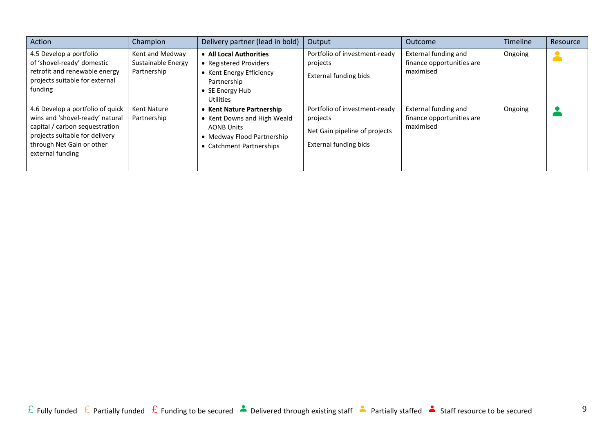| Action                                                                                                                                                                                   | Champion                                             | Delivery partner (lead in bold)                                                                                                         | Output                                                                                                     | Outcome                                                        | <b>Timeline</b> | Resource |
|------------------------------------------------------------------------------------------------------------------------------------------------------------------------------------------|------------------------------------------------------|-----------------------------------------------------------------------------------------------------------------------------------------|------------------------------------------------------------------------------------------------------------|----------------------------------------------------------------|-----------------|----------|
| 4.5 Develop a portfolio<br>of 'shovel-ready' domestic<br>retrofit and renewable energy<br>projects suitable for external<br>funding                                                      | Kent and Medway<br>Sustainable Energy<br>Partnership | • All Local Authorities<br>• Registered Providers<br>• Kent Energy Efficiency<br>Partnership<br>• SE Energy Hub<br><b>Utilities</b>     | Portfolio of investment-ready<br>projects<br><b>External funding bids</b>                                  | External funding and<br>finance opportunities are<br>maximised | Ongoing         |          |
| 4.6 Develop a portfolio of quick<br>wins and 'shovel-ready' natural<br>capital / carbon sequestration<br>projects suitable for delivery<br>through Net Gain or other<br>external funding | <b>Kent Nature</b><br>Partnership                    | • Kent Nature Partnership<br>• Kent Downs and High Weald<br><b>AONB Units</b><br>• Medway Flood Partnership<br>• Catchment Partnerships | Portfolio of investment-ready<br>projects<br>Net Gain pipeline of projects<br><b>External funding bids</b> | External funding and<br>finance opportunities are<br>maximised | Ongoing         |          |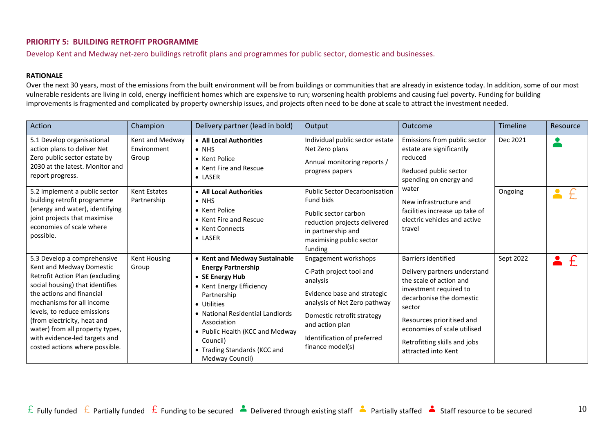## <span id="page-9-0"></span>**PRIORITY 5: BUILDING RETROFIT PROGRAMME**

Develop Kent and Medway net-zero buildings retrofit plans and programmes for public sector, domestic and businesses.

#### **RATIONALE**

Over the next 30 years, most of the emissions from the built environment will be from buildings or communities that are already in existence today. In addition, some of our most vulnerable residents are living in cold, energy inefficient homes which are expensive to run; worsening health problems and causing fuel poverty. Funding for building improvements is fragmented and complicated by property ownership issues, and projects often need to be done at scale to attract the investment needed.

| Action                                                                                                                                                                                                                                                                                                                                                      | Champion                                | Delivery partner (lead in bold)                                                                                                                                                                                                                                                              | Output                                                                                                                                                                                                                         | Outcome                                                                                                                                                                                                                                                                  | <b>Timeline</b> | Resource                          |
|-------------------------------------------------------------------------------------------------------------------------------------------------------------------------------------------------------------------------------------------------------------------------------------------------------------------------------------------------------------|-----------------------------------------|----------------------------------------------------------------------------------------------------------------------------------------------------------------------------------------------------------------------------------------------------------------------------------------------|--------------------------------------------------------------------------------------------------------------------------------------------------------------------------------------------------------------------------------|--------------------------------------------------------------------------------------------------------------------------------------------------------------------------------------------------------------------------------------------------------------------------|-----------------|-----------------------------------|
| 5.1 Develop organisational<br>action plans to deliver Net<br>Zero public sector estate by<br>2030 at the latest. Monitor and<br>report progress.                                                                                                                                                                                                            | Kent and Medway<br>Environment<br>Group | • All Local Authorities<br>$\bullet$ NHS<br>• Kent Police<br>• Kent Fire and Rescue<br>• LASER                                                                                                                                                                                               | Individual public sector estate<br>Net Zero plans<br>Annual monitoring reports /<br>progress papers                                                                                                                            | Emissions from public sector<br>estate are significantly<br>reduced<br>Reduced public sector<br>spending on energy and                                                                                                                                                   | Dec 2021        | $\bullet$                         |
| 5.2 Implement a public sector<br>building retrofit programme<br>(energy and water), identifying<br>joint projects that maximise<br>economies of scale where<br>possible.                                                                                                                                                                                    | Kent Estates<br>Partnership             | • All Local Authorities<br>$\bullet$ NHS<br>• Kent Police<br>• Kent Fire and Rescue<br>• Kent Connects<br>• LASER                                                                                                                                                                            | <b>Public Sector Decarbonisation</b><br>Fund bids<br>Public sector carbon<br>reduction projects delivered<br>in partnership and<br>maximising public sector<br>funding                                                         | water<br>New infrastructure and<br>facilities increase up take of<br>electric vehicles and active<br>travel                                                                                                                                                              | Ongoing         | $\blacktriangle$<br>$\mathcal{F}$ |
| 5.3 Develop a comprehensive<br>Kent and Medway Domestic<br>Retrofit Action Plan (excluding<br>social housing) that identifies<br>the actions and financial<br>mechanisms for all income<br>levels, to reduce emissions<br>(from electricity, heat and<br>water) from all property types,<br>with evidence-led targets and<br>costed actions where possible. | Kent Housing<br>Group                   | • Kent and Medway Sustainable<br><b>Energy Partnership</b><br>• SE Energy Hub<br>• Kent Energy Efficiency<br>Partnership<br>• Utilities<br>• National Residential Landlords<br>Association<br>• Public Health (KCC and Medway<br>Council)<br>• Trading Standards (KCC and<br>Medway Council) | Engagement workshops<br>C-Path project tool and<br>analysis<br>Evidence base and strategic<br>analysis of Net Zero pathway<br>Domestic retrofit strategy<br>and action plan<br>Identification of preferred<br>finance model(s) | <b>Barriers identified</b><br>Delivery partners understand<br>the scale of action and<br>investment required to<br>decarbonise the domestic<br>sector<br>Resources prioritised and<br>economies of scale utilised<br>Retrofitting skills and jobs<br>attracted into Kent | Sept 2022       | £                                 |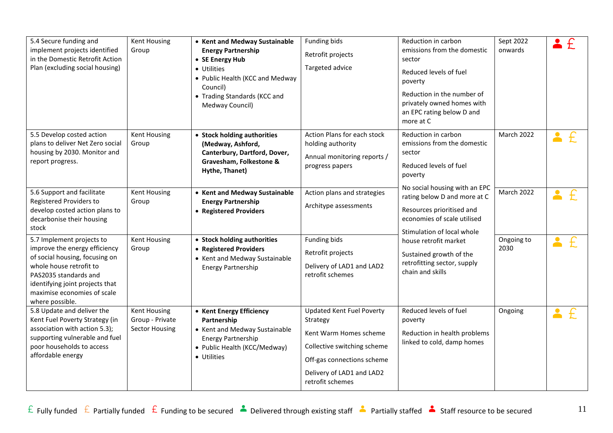| 5.4 Secure funding and<br>implement projects identified<br>in the Domestic Retrofit Action<br>Plan (excluding social housing)                                                                                                         | <b>Kent Housing</b><br>Group                                    | • Kent and Medway Sustainable<br><b>Energy Partnership</b><br>• SE Energy Hub<br>• Utilities<br>• Public Health (KCC and Medway<br>Council)<br>• Trading Standards (KCC and<br>Medway Council) | Funding bids<br>Retrofit projects<br>Targeted advice                                                                                                                                 | Reduction in carbon<br>emissions from the domestic<br>sector<br>Reduced levels of fuel<br>poverty<br>Reduction in the number of<br>privately owned homes with<br>an EPC rating below D and<br>more at C | Sept 2022<br>onwards |  |
|---------------------------------------------------------------------------------------------------------------------------------------------------------------------------------------------------------------------------------------|-----------------------------------------------------------------|------------------------------------------------------------------------------------------------------------------------------------------------------------------------------------------------|--------------------------------------------------------------------------------------------------------------------------------------------------------------------------------------|---------------------------------------------------------------------------------------------------------------------------------------------------------------------------------------------------------|----------------------|--|
| 5.5 Develop costed action<br>plans to deliver Net Zero social<br>housing by 2030. Monitor and<br>report progress.                                                                                                                     | <b>Kent Housing</b><br>Group                                    | • Stock holding authorities<br>(Medway, Ashford,<br>Canterbury, Dartford, Dover,<br>Gravesham, Folkestone &<br>Hythe, Thanet)                                                                  | Action Plans for each stock<br>holding authority<br>Annual monitoring reports /<br>progress papers                                                                                   | Reduction in carbon<br>emissions from the domestic<br>sector<br>Reduced levels of fuel<br>poverty<br>No social housing with an EPC                                                                      | <b>March 2022</b>    |  |
| 5.6 Support and facilitate<br>Registered Providers to<br>develop costed action plans to<br>decarbonise their housing<br>stock                                                                                                         | <b>Kent Housing</b><br>Group                                    | • Kent and Medway Sustainable<br><b>Energy Partnership</b><br>• Registered Providers                                                                                                           | Action plans and strategies<br>Architype assessments                                                                                                                                 | rating below D and more at C<br>Resources prioritised and<br>economies of scale utilised<br>Stimulation of local whole                                                                                  | March 2022           |  |
| 5.7 Implement projects to<br>improve the energy efficiency<br>of social housing, focusing on<br>whole house retrofit to<br>PAS2035 standards and<br>identifying joint projects that<br>maximise economies of scale<br>where possible. | Kent Housing<br>Group                                           | • Stock holding authorities<br>• Registered Providers<br>• Kent and Medway Sustainable<br><b>Energy Partnership</b>                                                                            | Funding bids<br>Retrofit projects<br>Delivery of LAD1 and LAD2<br>retrofit schemes                                                                                                   | house retrofit market<br>Sustained growth of the<br>retrofitting sector, supply<br>chain and skills                                                                                                     | Ongoing to<br>2030   |  |
| 5.8 Update and deliver the<br>Kent Fuel Poverty Strategy (in<br>association with action 5.3);<br>supporting vulnerable and fuel<br>poor households to access<br>affordable energy                                                     | <b>Kent Housing</b><br>Group - Private<br><b>Sector Housing</b> | • Kent Energy Efficiency<br>Partnership<br>• Kent and Medway Sustainable<br><b>Energy Partnership</b><br>• Public Health (KCC/Medway)<br>• Utilities                                           | <b>Updated Kent Fuel Poverty</b><br>Strategy<br>Kent Warm Homes scheme<br>Collective switching scheme<br>Off-gas connections scheme<br>Delivery of LAD1 and LAD2<br>retrofit schemes | Reduced levels of fuel<br>poverty<br>Reduction in health problems<br>linked to cold, damp homes                                                                                                         | Ongoing              |  |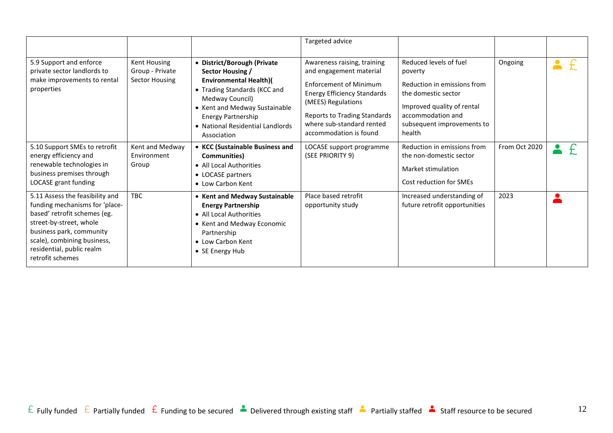|                                                                                                                                                                                                                                          |                                                          |                                                                                                                                                                                                                                                      | Targeted advice                                                                                                                                                                                                                                   |                                                                                                                                                                                    |               |  |
|------------------------------------------------------------------------------------------------------------------------------------------------------------------------------------------------------------------------------------------|----------------------------------------------------------|------------------------------------------------------------------------------------------------------------------------------------------------------------------------------------------------------------------------------------------------------|---------------------------------------------------------------------------------------------------------------------------------------------------------------------------------------------------------------------------------------------------|------------------------------------------------------------------------------------------------------------------------------------------------------------------------------------|---------------|--|
| 5.9 Support and enforce<br>private sector landlords to<br>make improvements to rental<br>properties                                                                                                                                      | Kent Housing<br>Group - Private<br><b>Sector Housing</b> | • District/Borough (Private<br>Sector Housing /<br><b>Environmental Health)(</b><br>• Trading Standards (KCC and<br>Medway Council)<br>• Kent and Medway Sustainable<br><b>Energy Partnership</b><br>• National Residential Landlords<br>Association | Awareness raising, training<br>and engagement material<br><b>Enforcement of Minimum</b><br><b>Energy Efficiency Standards</b><br>(MEES) Regulations<br><b>Reports to Trading Standards</b><br>where sub-standard rented<br>accommodation is found | Reduced levels of fuel<br>poverty<br>Reduction in emissions from<br>the domestic sector<br>Improved quality of rental<br>accommodation and<br>subsequent improvements to<br>health | Ongoing       |  |
| 5.10 Support SMEs to retrofit<br>energy efficiency and<br>renewable technologies in<br>business premises through<br>LOCASE grant funding                                                                                                 | Kent and Medway<br>Environment<br>Group                  | • KCC (Sustainable Business and<br><b>Communities</b> )<br>• All Local Authorities<br>• LOCASE partners<br>• Low Carbon Kent                                                                                                                         | LOCASE support programme<br>(SEE PRIORITY 9)                                                                                                                                                                                                      | Reduction in emissions from<br>the non-domestic sector<br>Market stimulation<br>Cost reduction for SMEs                                                                            | From Oct 2020 |  |
| 5.11 Assess the feasibility and<br>funding mechanisms for 'place-<br>based' retrofit schemes (eg.<br>street-by-street, whole<br>business park, community<br>scale), combining business,<br>residential, public realm<br>retrofit schemes | <b>TBC</b>                                               | • Kent and Medway Sustainable<br><b>Energy Partnership</b><br>• All Local Authorities<br>• Kent and Medway Economic<br>Partnership<br>• Low Carbon Kent<br>• SE Energy Hub                                                                           | Place based retrofit<br>opportunity study                                                                                                                                                                                                         | Increased understanding of<br>future retrofit opportunities                                                                                                                        | 2023          |  |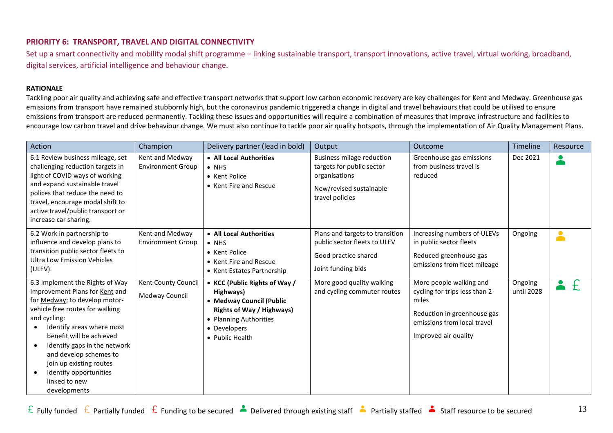## <span id="page-12-0"></span>**PRIORITY 6: TRANSPORT, TRAVEL AND DIGITAL CONNECTIVITY**

Set up a smart connectivity and mobility modal shift programme – linking sustainable transport, transport innovations, active travel, virtual working, broadband, digital services, artificial intelligence and behaviour change.

#### **RATIONALE**

Tackling poor air quality and achieving safe and effective transport networks that support low carbon economic recovery are key challenges for Kent and Medway. Greenhouse gas emissions from transport have remained stubbornly high, but the coronavirus pandemic triggered a change in digital and travel behaviours that could be utilised to ensure emissions from transport are reduced permanently. Tackling these issues and opportunities will require a combination of measures that improve infrastructure and facilities to encourage low carbon travel and drive behaviour change. We must also continue to tackle poor air quality hotspots, through the implementation of Air Quality Management Plans.

| Action                                                                                                                                                                                                                                                                                                                                                                      | Champion                                    | Delivery partner (lead in bold)                                                                                                                                         | Output                                                                                                                       | Outcome                                                                                                                                                 | Timeline              | Resource         |
|-----------------------------------------------------------------------------------------------------------------------------------------------------------------------------------------------------------------------------------------------------------------------------------------------------------------------------------------------------------------------------|---------------------------------------------|-------------------------------------------------------------------------------------------------------------------------------------------------------------------------|------------------------------------------------------------------------------------------------------------------------------|---------------------------------------------------------------------------------------------------------------------------------------------------------|-----------------------|------------------|
| 6.1 Review business mileage, set<br>challenging reduction targets in<br>light of COVID ways of working<br>and expand sustainable travel<br>polices that reduce the need to<br>travel, encourage modal shift to<br>active travel/public transport or<br>increase car sharing.                                                                                                | Kent and Medway<br><b>Environment Group</b> | • All Local Authorities<br>$\bullet$ NHS<br>• Kent Police<br>• Kent Fire and Rescue                                                                                     | <b>Business milage reduction</b><br>targets for public sector<br>organisations<br>New/revised sustainable<br>travel policies | Greenhouse gas emissions<br>from business travel is<br>reduced                                                                                          | Dec 2021              | $\bullet$        |
| 6.2 Work in partnership to<br>influence and develop plans to<br>transition public sector fleets to<br><b>Ultra Low Emission Vehicles</b><br>(ULEV).                                                                                                                                                                                                                         | Kent and Medway<br><b>Environment Group</b> | • All Local Authorities<br>$\bullet$ NHS<br>• Kent Police<br>• Kent Fire and Rescue<br>• Kent Estates Partnership                                                       | Plans and targets to transition<br>public sector fleets to ULEV<br>Good practice shared<br>Joint funding bids                | Increasing numbers of ULEVs<br>in public sector fleets<br>Reduced greenhouse gas<br>emissions from fleet mileage                                        | Ongoing               | $\blacktriangle$ |
| 6.3 Implement the Rights of Way<br>Improvement Plans for Kent and<br>for Medway; to develop motor-<br>vehicle free routes for walking<br>and cycling:<br>Identify areas where most<br>benefit will be achieved<br>Identify gaps in the network<br>$\bullet$<br>and develop schemes to<br>join up existing routes<br>Identify opportunities<br>linked to new<br>developments | Kent County Council<br>Medway Council       | • KCC (Public Rights of Way /<br>Highways)<br>• Medway Council (Public<br><b>Rights of Way / Highways)</b><br>• Planning Authorities<br>• Developers<br>• Public Health | More good quality walking<br>and cycling commuter routes                                                                     | More people walking and<br>cycling for trips less than 2<br>miles<br>Reduction in greenhouse gas<br>emissions from local travel<br>Improved air quality | Ongoing<br>until 2028 |                  |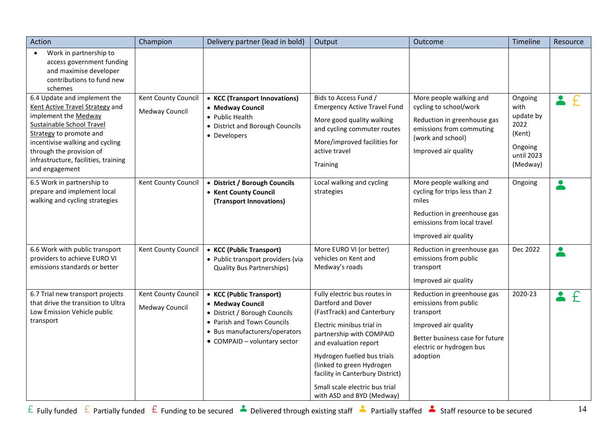| Action                                                                                                                                                                                                                                                                          | Champion                              | Delivery partner (lead in bold)                                                                                                                                              | Output                                                                                                                                                                                                                                                                                                                            | Outcome                                                                                                                                                              | Timeline                                                                            | Resource |
|---------------------------------------------------------------------------------------------------------------------------------------------------------------------------------------------------------------------------------------------------------------------------------|---------------------------------------|------------------------------------------------------------------------------------------------------------------------------------------------------------------------------|-----------------------------------------------------------------------------------------------------------------------------------------------------------------------------------------------------------------------------------------------------------------------------------------------------------------------------------|----------------------------------------------------------------------------------------------------------------------------------------------------------------------|-------------------------------------------------------------------------------------|----------|
| Work in partnership to<br>$\bullet$<br>access government funding<br>and maximise developer<br>contributions to fund new<br>schemes                                                                                                                                              |                                       |                                                                                                                                                                              |                                                                                                                                                                                                                                                                                                                                   |                                                                                                                                                                      |                                                                                     |          |
| 6.4 Update and implement the<br>Kent Active Travel Strategy and<br>implement the Medway<br><b>Sustainable School Travel</b><br>Strategy to promote and<br>incentivise walking and cycling<br>through the provision of<br>infrastructure, facilities, training<br>and engagement | Kent County Council<br>Medway Council | • KCC (Transport Innovations)<br>• Medway Council<br>• Public Health<br>• District and Borough Councils<br>• Developers                                                      | Bids to Access Fund /<br><b>Emergency Active Travel Fund</b><br>More good quality walking<br>and cycling commuter routes<br>More/improved facilities for<br>active travel<br>Training                                                                                                                                             | More people walking and<br>cycling to school/work<br>Reduction in greenhouse gas<br>emissions from commuting<br>(work and school)<br>Improved air quality            | Ongoing<br>with<br>update by<br>2022<br>(Kent)<br>Ongoing<br>until 2023<br>(Medway) | £        |
| 6.5 Work in partnership to<br>prepare and implement local<br>walking and cycling strategies                                                                                                                                                                                     | Kent County Council                   | <b>District / Borough Councils</b><br>• Kent County Council<br>(Transport Innovations)                                                                                       | Local walking and cycling<br>strategies                                                                                                                                                                                                                                                                                           | More people walking and<br>cycling for trips less than 2<br>miles<br>Reduction in greenhouse gas<br>emissions from local travel<br>Improved air quality              | Ongoing                                                                             |          |
| 6.6 Work with public transport<br>providers to achieve EURO VI<br>emissions standards or better                                                                                                                                                                                 | Kent County Council                   | <b>KCC (Public Transport)</b><br>$\bullet$<br>• Public transport providers (via<br><b>Quality Bus Partnerships)</b>                                                          | More EURO VI (or better)<br>vehicles on Kent and<br>Medway's roads                                                                                                                                                                                                                                                                | Reduction in greenhouse gas<br>emissions from public<br>transport<br>Improved air quality                                                                            | Dec 2022                                                                            |          |
| 6.7 Trial new transport projects<br>that drive the transition to Ultra<br>Low Emission Vehicle public<br>transport                                                                                                                                                              | Kent County Council<br>Medway Council | • KCC (Public Transport)<br>• Medway Council<br>• District / Borough Councils<br>• Parish and Town Councils<br>• Bus manufacturers/operators<br>• COMPAID - voluntary sector | Fully electric bus routes in<br>Dartford and Dover<br>(FastTrack) and Canterbury<br>Electric minibus trial in<br>partnership with COMPAID<br>and evaluation report<br>Hydrogen fuelled bus trials<br>(linked to green Hydrogen<br>facility in Canterbury District)<br>Small scale electric bus trial<br>with ASD and BYD (Medway) | Reduction in greenhouse gas<br>emissions from public<br>transport<br>Improved air quality<br>Better business case for future<br>electric or hydrogen bus<br>adoption | 2020-23                                                                             |          |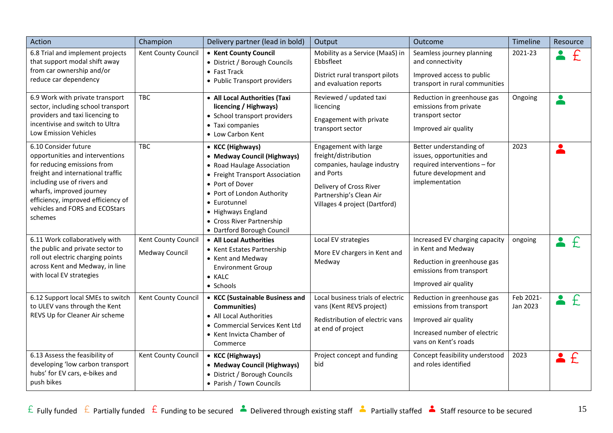| Action                                                                                                                                                                                                                                                                    | Champion                              | Delivery partner (lead in bold)                                                                                                                                                                                                                                    | Output                                                                                                                                                                           | Outcome                                                                                                                                 | Timeline              | Resource      |
|---------------------------------------------------------------------------------------------------------------------------------------------------------------------------------------------------------------------------------------------------------------------------|---------------------------------------|--------------------------------------------------------------------------------------------------------------------------------------------------------------------------------------------------------------------------------------------------------------------|----------------------------------------------------------------------------------------------------------------------------------------------------------------------------------|-----------------------------------------------------------------------------------------------------------------------------------------|-----------------------|---------------|
| 6.8 Trial and implement projects<br>that support modal shift away<br>from car ownership and/or<br>reduce car dependency                                                                                                                                                   | Kent County Council                   | • Kent County Council<br>• District / Borough Councils<br>$\bullet$ Fast Track<br>• Public Transport providers                                                                                                                                                     | Mobility as a Service (MaaS) in<br>Ebbsfleet<br>District rural transport pilots<br>and evaluation reports                                                                        | Seamless journey planning<br>and connectivity<br>Improved access to public<br>transport in rural communities                            | 2021-23               | £             |
| 6.9 Work with private transport<br>sector, including school transport<br>providers and taxi licencing to<br>incentivise and switch to Ultra<br><b>Low Emission Vehicles</b>                                                                                               | <b>TBC</b>                            | • All Local Authorities (Taxi<br>licencing / Highways)<br>• School transport providers<br>• Taxi companies<br>• Low Carbon Kent                                                                                                                                    | Reviewed / updated taxi<br>licencing<br>Engagement with private<br>transport sector                                                                                              | Reduction in greenhouse gas<br>emissions from private<br>transport sector<br>Improved air quality                                       | Ongoing               | $\bullet$     |
| 6.10 Consider future<br>opportunities and interventions<br>for reducing emissions from<br>freight and international traffic<br>including use of rivers and<br>wharfs, improved journey<br>efficiency, improved efficiency of<br>vehicles and FORS and ECOStars<br>schemes | <b>TBC</b>                            | • KCC (Highways)<br>• Medway Council (Highways)<br>• Road Haulage Association<br>• Freight Transport Association<br>• Port of Dover<br>• Port of London Authority<br>• Eurotunnel<br>• Highways England<br>• Cross River Partnership<br>· Dartford Borough Council | Engagement with large<br>freight/distribution<br>companies, haulage industry<br>and Ports<br>Delivery of Cross River<br>Partnership's Clean Air<br>Villages 4 project (Dartford) | Better understanding of<br>issues, opportunities and<br>required interventions - for<br>future development and<br>implementation        | 2023                  |               |
| 6.11 Work collaboratively with<br>the public and private sector to<br>roll out electric charging points<br>across Kent and Medway, in line<br>with local EV strategies                                                                                                    | Kent County Council<br>Medway Council | • All Local Authorities<br>• Kent Estates Partnership<br>• Kent and Medway<br><b>Environment Group</b><br>$\bullet$ KALC<br>• Schools                                                                                                                              | Local EV strategies<br>More EV chargers in Kent and<br>Medway                                                                                                                    | Increased EV charging capacity<br>in Kent and Medway<br>Reduction in greenhouse gas<br>emissions from transport<br>Improved air quality | ongoing               | $\mathcal{F}$ |
| 6.12 Support local SMEs to switch<br>to ULEV vans through the Kent<br>REVS Up for Cleaner Air scheme                                                                                                                                                                      | Kent County Council                   | • KCC (Sustainable Business and<br><b>Communities)</b><br>• All Local Authorities<br>• Commercial Services Kent Ltd<br>• Kent Invicta Chamber of<br>Commerce                                                                                                       | Local business trials of electric<br>vans (Kent REVS project)<br>Redistribution of electric vans<br>at end of project                                                            | Reduction in greenhouse gas<br>emissions from transport<br>Improved air quality<br>Increased number of electric<br>vans on Kent's roads | Feb 2021-<br>Jan 2023 | f             |
| 6.13 Assess the feasibility of<br>developing 'low carbon transport<br>hubs' for EV cars, e-bikes and<br>push bikes                                                                                                                                                        | Kent County Council                   | • KCC (Highways)<br>• Medway Council (Highways)<br>• District / Borough Councils<br>• Parish / Town Councils                                                                                                                                                       | Project concept and funding<br>bid                                                                                                                                               | Concept feasibility understood<br>and roles identified                                                                                  | 2023                  | f             |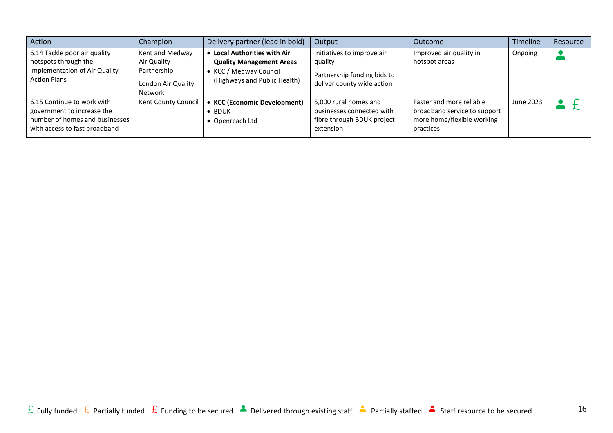| Action                                                                                                                      | Champion                                                                              | Delivery partner (lead in bold)                                                                                              | Output                                                                                             | <b>Outcome</b>                                                                                      | <b>Timeline</b> | Resource |
|-----------------------------------------------------------------------------------------------------------------------------|---------------------------------------------------------------------------------------|------------------------------------------------------------------------------------------------------------------------------|----------------------------------------------------------------------------------------------------|-----------------------------------------------------------------------------------------------------|-----------------|----------|
| 6.14 Tackle poor air quality<br>hotspots through the<br>implementation of Air Quality<br><b>Action Plans</b>                | Kent and Medway<br>Air Quality<br>Partnership<br>London Air Quality<br><b>Network</b> | <b>Local Authorities with Air</b><br><b>Quality Management Areas</b><br>KCC / Medway Council<br>(Highways and Public Health) | Initiatives to improve air<br>quality<br>Partnership funding bids to<br>deliver county wide action | Improved air quality in<br>hotspot areas                                                            | Ongoing         |          |
| 6.15 Continue to work with<br>government to increase the<br>number of homes and businesses<br>with access to fast broadband | Kent County Council                                                                   | <b>KCC (Economic Development)</b><br><b>BDUK</b><br>Openreach Ltd                                                            | 5,000 rural homes and<br>businesses connected with<br>fibre through BDUK project<br>extension      | Faster and more reliable<br>broadband service to support<br>more home/flexible working<br>practices | June 2023       |          |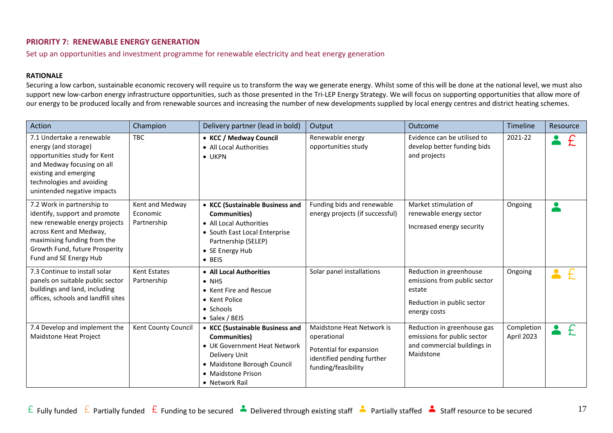## <span id="page-16-0"></span>**PRIORITY 7: RENEWABLE ENERGY GENERATION**

Set up an opportunities and investment programme for renewable electricity and heat energy generation

#### **RATIONALE**

Securing a low carbon, sustainable economic recovery will require us to transform the way we generate energy. Whilst some of this will be done at the national level, we must also support new low-carbon energy infrastructure opportunities, such as those presented in the Tri-LEP Energy Strategy. We will focus on supporting opportunities that allow more of our energy to be produced locally and from renewable sources and increasing the number of new developments supplied by local energy centres and district heating schemes.

| Action                                                                                                                                                                                                             | Champion                                   | Delivery partner (lead in bold)                                                                                                                                                | Output                                                                                                                   | Outcome                                                                                                         | Timeline                 | Resource |
|--------------------------------------------------------------------------------------------------------------------------------------------------------------------------------------------------------------------|--------------------------------------------|--------------------------------------------------------------------------------------------------------------------------------------------------------------------------------|--------------------------------------------------------------------------------------------------------------------------|-----------------------------------------------------------------------------------------------------------------|--------------------------|----------|
| 7.1 Undertake a renewable<br>energy (and storage)<br>opportunities study for Kent<br>and Medway focusing on all<br>existing and emerging<br>technologies and avoiding<br>unintended negative impacts               | <b>TBC</b>                                 | • KCC / Medway Council<br>• All Local Authorities<br>$\bullet$ UKPN                                                                                                            | Renewable energy<br>opportunities study                                                                                  | Evidence can be utilised to<br>develop better funding bids<br>and projects                                      | 2021-22                  |          |
| 7.2 Work in partnership to<br>identify, support and promote<br>new renewable energy projects<br>across Kent and Medway,<br>maximising funding from the<br>Growth Fund, future Prosperity<br>Fund and SE Energy Hub | Kent and Medway<br>Economic<br>Partnership | • KCC (Sustainable Business and<br>Communities)<br>• All Local Authorities<br>• South East Local Enterprise<br>Partnership (SELEP)<br>• SE Energy Hub<br>$\bullet$ BEIS        | Funding bids and renewable<br>energy projects (if successful)                                                            | Market stimulation of<br>renewable energy sector<br>Increased energy security                                   | Ongoing                  |          |
| 7.3 Continue to install solar<br>panels on suitable public sector<br>buildings and land, including<br>offices, schools and landfill sites                                                                          | <b>Kent Estates</b><br>Partnership         | • All Local Authorities<br>$\bullet$ NHS<br>• Kent Fire and Rescue<br>• Kent Police<br>• Schools<br>• Salex / BEIS                                                             | Solar panel installations                                                                                                | Reduction in greenhouse<br>emissions from public sector<br>estate<br>Reduction in public sector<br>energy costs | Ongoing                  |          |
| 7.4 Develop and implement the<br>Maidstone Heat Project                                                                                                                                                            | Kent County Council                        | • KCC (Sustainable Business and<br><b>Communities)</b><br>• UK Government Heat Network<br>Delivery Unit<br>• Maidstone Borough Council<br>• Maidstone Prison<br>• Network Rail | Maidstone Heat Network is<br>operational<br>Potential for expansion<br>identified pending further<br>funding/feasibility | Reduction in greenhouse gas<br>emissions for public sector<br>and commercial buildings in<br>Maidstone          | Completion<br>April 2023 |          |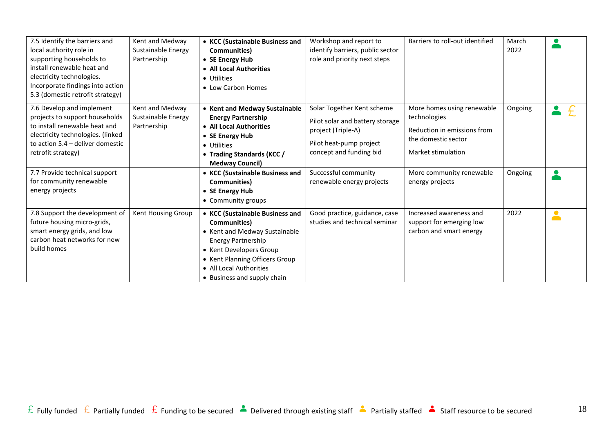| 7.5 Identify the barriers and<br>local authority role in<br>supporting households to<br>install renewable heat and<br>electricity technologies.<br>Incorporate findings into action<br>5.3 (domestic retrofit strategy) | Kent and Medway<br>Sustainable Energy<br>Partnership | • KCC (Sustainable Business and<br><b>Communities</b> )<br>• SE Energy Hub<br>• All Local Authorities<br>• Utilities<br>• Low Carbon Homes                                                                                    | Workshop and report to<br>identify barriers, public sector<br>role and priority next steps                                                | Barriers to roll-out identified                                                                                        | March<br>2022 |           |
|-------------------------------------------------------------------------------------------------------------------------------------------------------------------------------------------------------------------------|------------------------------------------------------|-------------------------------------------------------------------------------------------------------------------------------------------------------------------------------------------------------------------------------|-------------------------------------------------------------------------------------------------------------------------------------------|------------------------------------------------------------------------------------------------------------------------|---------------|-----------|
| 7.6 Develop and implement<br>projects to support households<br>to install renewable heat and<br>electricity technologies. (linked<br>to action $5.4$ – deliver domestic<br>retrofit strategy)                           | Kent and Medway<br>Sustainable Energy<br>Partnership | • Kent and Medway Sustainable<br><b>Energy Partnership</b><br>• All Local Authorities<br>• SE Energy Hub<br>• Utilities<br>• Trading Standards (KCC /<br><b>Medway Council)</b>                                               | Solar Together Kent scheme<br>Pilot solar and battery storage<br>project (Triple-A)<br>Pilot heat-pump project<br>concept and funding bid | More homes using renewable<br>technologies<br>Reduction in emissions from<br>the domestic sector<br>Market stimulation | Ongoing       |           |
| 7.7 Provide technical support<br>for community renewable<br>energy projects                                                                                                                                             |                                                      | • KCC (Sustainable Business and<br>Communities)<br>• SE Energy Hub<br>• Community groups                                                                                                                                      | Successful community<br>renewable energy projects                                                                                         | More community renewable<br>energy projects                                                                            | Ongoing       |           |
| 7.8 Support the development of<br>future housing micro-grids,<br>smart energy grids, and low<br>carbon heat networks for new<br>build homes                                                                             | Kent Housing Group                                   | • KCC (Sustainable Business and<br>Communities)<br>• Kent and Medway Sustainable<br>Energy Partnership<br>• Kent Developers Group<br>• Kent Planning Officers Group<br>• All Local Authorities<br>• Business and supply chain | Good practice, guidance, case<br>studies and technical seminar                                                                            | Increased awareness and<br>support for emerging low<br>carbon and smart energy                                         | 2022          | $\bullet$ |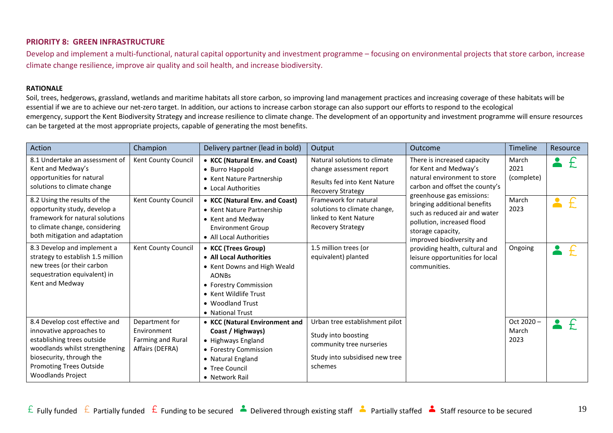## <span id="page-18-0"></span>**PRIORITY 8: GREEN INFRASTRUCTURE**

Develop and implement a multi-functional, natural capital opportunity and investment programme – focusing on environmental projects that store carbon, increase climate change resilience, improve air quality and soil health, and increase biodiversity.

#### **RATIONALE**

Soil, trees, hedgerows, grassland, wetlands and maritime habitats all store carbon, so improving land management practices and increasing coverage of these habitats will be essential if we are to achieve our net-zero target. In addition, our actions to increase carbon storage can also support our efforts to respond to the ecological emergency, support the Kent Biodiversity Strategy and increase resilience to climate change. The development of an opportunity and investment programme will ensure resources can be targeted at the most appropriate projects, capable of generating the most benefits.

| Action                                                                                                                                                                                                               | Champion                                                              | Delivery partner (lead in bold)                                                                                                                                                         | Output                                                                                                                         | Outcome                                                                                                                                                                                                                                                                                                                                                                                   | Timeline                   | Resource                    |  |
|----------------------------------------------------------------------------------------------------------------------------------------------------------------------------------------------------------------------|-----------------------------------------------------------------------|-----------------------------------------------------------------------------------------------------------------------------------------------------------------------------------------|--------------------------------------------------------------------------------------------------------------------------------|-------------------------------------------------------------------------------------------------------------------------------------------------------------------------------------------------------------------------------------------------------------------------------------------------------------------------------------------------------------------------------------------|----------------------------|-----------------------------|--|
| 8.1 Undertake an assessment of<br>Kent and Medway's<br>opportunities for natural<br>solutions to climate change                                                                                                      | Kent County Council                                                   | • KCC (Natural Env. and Coast)<br>• Burro Happold<br>• Kent Nature Partnership<br>• Local Authorities                                                                                   | Natural solutions to climate<br>change assessment report<br>Results fed into Kent Nature<br><b>Recovery Strategy</b>           | There is increased capacity<br>for Kent and Medway's<br>natural environment to store<br>carbon and offset the county's<br>greenhouse gas emissions:<br>bringing additional benefits<br>such as reduced air and water<br>pollution, increased flood<br>storage capacity,<br>improved biodiversity and<br>providing health, cultural and<br>leisure opportunities for local<br>communities. |                            | March<br>2021<br>(complete) |  |
| 8.2 Using the results of the<br>opportunity study, develop a<br>framework for natural solutions<br>to climate change, considering<br>both mitigation and adaptation                                                  | Kent County Council                                                   | • KCC (Natural Env. and Coast)<br>• Kent Nature Partnership<br>• Kent and Medway<br><b>Environment Group</b><br>• All Local Authorities                                                 | Framework for natural<br>solutions to climate change,<br>linked to Kent Nature<br><b>Recovery Strategy</b>                     |                                                                                                                                                                                                                                                                                                                                                                                           | March<br>2023              | 2                           |  |
| 8.3 Develop and implement a<br>strategy to establish 1.5 million<br>new trees (or their carbon<br>sequestration equivalent) in<br>Kent and Medway                                                                    | Kent County Council                                                   | • KCC (Trees Group)<br>• All Local Authorities<br>• Kent Downs and High Weald<br><b>AONBs</b><br>• Forestry Commission<br>• Kent Wildlife Trust<br>• Woodland Trust<br>• National Trust | 1.5 million trees (or<br>equivalent) planted                                                                                   |                                                                                                                                                                                                                                                                                                                                                                                           | Ongoing                    |                             |  |
| 8.4 Develop cost effective and<br>innovative approaches to<br>establishing trees outside<br>woodlands whilst strengthening<br>biosecurity, through the<br><b>Promoting Trees Outside</b><br><b>Woodlands Project</b> | Department for<br>Environment<br>Farming and Rural<br>Affairs (DEFRA) | • KCC (Natural Environment and<br>Coast / Highways)<br>• Highways England<br>• Forestry Commission<br>• Natural England<br>• Tree Council<br>• Network Rail                             | Urban tree establishment pilot<br>Study into boosting<br>community tree nurseries<br>Study into subsidised new tree<br>schemes |                                                                                                                                                                                                                                                                                                                                                                                           | Oct 2020-<br>March<br>2023 |                             |  |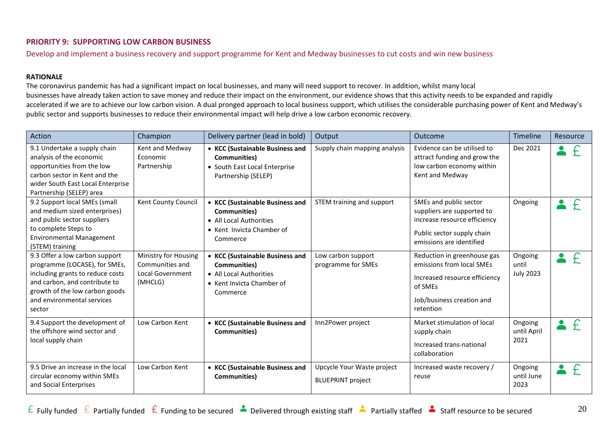## <span id="page-19-0"></span>**PRIORITY 9: SUPPORTING LOW CARBON BUSINESS**

Develop and implement a business recovery and support programme for Kent and Medway businesses to cut costs and win new business

#### **RATIONALE**

The coronavirus pandemic has had a significant impact on local businesses, and many will need support to recover. In addition, whilst many local businesses have already taken action to save money and reduce their impact on the environment, our evidence shows that this activity needs to be expanded and rapidly accelerated if we are to achieve our low carbon vision. A dual pronged approach to local business support, which utilises the considerable purchasing power of Kent and Medway's public sector and supports businesses to reduce their environmental impact will help drive a low carbon economic recovery.

| Action                                                                                                                                                                                                         | Champion                                                                      | Delivery partner (lead in bold)                                                                                             | Output                                                 | Outcome                                                                                                                                        | Timeline                             | Resource     |
|----------------------------------------------------------------------------------------------------------------------------------------------------------------------------------------------------------------|-------------------------------------------------------------------------------|-----------------------------------------------------------------------------------------------------------------------------|--------------------------------------------------------|------------------------------------------------------------------------------------------------------------------------------------------------|--------------------------------------|--------------|
| 9.1 Undertake a supply chain<br>analysis of the economic<br>opportunities from the low<br>carbon sector in Kent and the<br>wider South East Local Enterprise<br>Partnership (SELEP) area                       | Kent and Medway<br>Economic<br>Partnership                                    | • KCC (Sustainable Business and<br>Communities)<br>• South East Local Enterprise<br>Partnership (SELEP)                     | Supply chain mapping analysis                          | Evidence can be utilised to<br>attract funding and grow the<br>low carbon economy within<br>Kent and Medway                                    | Dec 2021                             |              |
| 9.2 Support local SMEs (small<br>and medium sized enterprises)<br>and public sector suppliers<br>to complete Steps to<br><b>Environmental Management</b><br>(STEM) training                                    | Kent County Council                                                           | • KCC (Sustainable Business and<br><b>Communities</b> )<br>• All Local Authorities<br>• Kent Invicta Chamber of<br>Commerce | STEM training and support                              | SMEs and public sector<br>suppliers are supported to<br>increase resource efficiency<br>Public sector supply chain<br>emissions are identified | Ongoing                              | f            |
| 9.3 Offer a low carbon support<br>programme (LOCASE), for SMEs,<br>including grants to reduce costs<br>and carbon, and contribute to<br>growth of the low carbon goods<br>and environmental services<br>sector | Ministry for Housing<br>Communities and<br><b>Local Government</b><br>(MHCLG) | • KCC (Sustainable Business and<br>Communities)<br>• All Local Authorities<br>• Kent Invicta Chamber of<br>Commerce         | Low carbon support<br>programme for SMEs               | Reduction in greenhouse gas<br>emissions from local SMEs<br>Increased resource efficiency<br>of SMEs<br>Job/business creation and<br>retention | Ongoing<br>until<br><b>July 2023</b> | $\ddot{+}$   |
| 9.4 Support the development of<br>the offshore wind sector and<br>local supply chain                                                                                                                           | Low Carbon Kent                                                               | • KCC (Sustainable Business and<br>Communities)                                                                             | Inn2Power project                                      | Market stimulation of local<br>supply chain<br>Increased trans-national<br>collaboration                                                       | Ongoing<br>until April<br>2021       | $\mathbf{f}$ |
| 9.5 Drive an increase in the local<br>circular economy within SMEs<br>and Social Enterprises                                                                                                                   | Low Carbon Kent                                                               | • KCC (Sustainable Business and<br>Communities)                                                                             | Upcycle Your Waste project<br><b>BLUEPRINT</b> project | Increased waste recovery /<br>reuse                                                                                                            | Ongoing<br>until June<br>2023        | £            |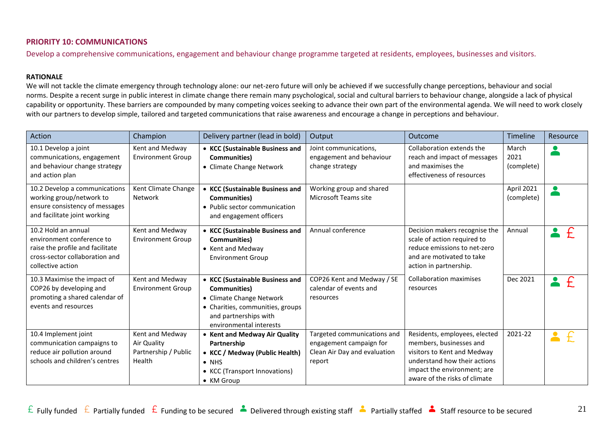### <span id="page-20-0"></span>**PRIORITY 10: COMMUNICATIONS**

Develop a comprehensive communications, engagement and behaviour change programme targeted at residents, employees, businesses and visitors.

#### **RATIONALE**

We will not tackle the climate emergency through technology alone: our net-zero future will only be achieved if we successfully change perceptions, behaviour and social norms. Despite a recent surge in public interest in climate change there remain many psychological, social and cultural barriers to behaviour change, alongside a lack of physical capability or opportunity. These barriers are compounded by many competing voices seeking to advance their own part of the environmental agenda. We will need to work closely with our partners to develop simple, tailored and targeted communications that raise awareness and encourage a change in perceptions and behaviour.

| <b>Action</b>                                                                                                                               | Champion                                                         | Delivery partner (lead in bold)                                                                                                                                             | Output                                                                                           | Outcome                                                                                                                                                                                 | <b>Timeline</b>             | Resource      |
|---------------------------------------------------------------------------------------------------------------------------------------------|------------------------------------------------------------------|-----------------------------------------------------------------------------------------------------------------------------------------------------------------------------|--------------------------------------------------------------------------------------------------|-----------------------------------------------------------------------------------------------------------------------------------------------------------------------------------------|-----------------------------|---------------|
| 10.1 Develop a joint<br>communications, engagement<br>and behaviour change strategy<br>and action plan                                      | Kent and Medway<br><b>Environment Group</b>                      | • KCC (Sustainable Business and<br>Communities)<br>• Climate Change Network                                                                                                 | Joint communications,<br>engagement and behaviour<br>change strategy                             | Collaboration extends the<br>reach and impact of messages<br>and maximises the<br>effectiveness of resources                                                                            | March<br>2021<br>(complete) |               |
| 10.2 Develop a communications<br>working group/network to<br>ensure consistency of messages<br>and facilitate joint working                 | Kent Climate Change<br>Network                                   | • KCC (Sustainable Business and<br>Communities)<br>• Public sector communication<br>and engagement officers                                                                 | Working group and shared<br>Microsoft Teams site                                                 |                                                                                                                                                                                         | April 2021<br>(complete)    |               |
| 10.2 Hold an annual<br>environment conference to<br>raise the profile and facilitate<br>cross-sector collaboration and<br>collective action | Kent and Medway<br><b>Environment Group</b>                      | • KCC (Sustainable Business and<br>Communities)<br>• Kent and Medway<br><b>Environment Group</b>                                                                            | Annual conference                                                                                | Decision makers recognise the<br>scale of action required to<br>reduce emissions to net-zero<br>and are motivated to take<br>action in partnership.                                     | Annual                      | $\mathcal{F}$ |
| 10.3 Maximise the impact of<br>COP26 by developing and<br>promoting a shared calendar of<br>events and resources                            | Kent and Medway<br><b>Environment Group</b>                      | • KCC (Sustainable Business and<br><b>Communities</b> )<br>• Climate Change Network<br>• Charities, communities, groups<br>and partnerships with<br>environmental interests | COP26 Kent and Medway / SE<br>calendar of events and<br>resources                                | <b>Collaboration maximises</b><br>resources                                                                                                                                             | Dec 2021                    |               |
| 10.4 Implement joint<br>communication campaigns to<br>reduce air pollution around<br>schools and children's centres                         | Kent and Medway<br>Air Quality<br>Partnership / Public<br>Health | • Kent and Medway Air Quality<br>Partnership<br>• KCC / Medway (Public Health)<br>$\bullet$ NHS<br>• KCC (Transport Innovations)<br>• KM Group                              | Targeted communications and<br>engagement campaign for<br>Clean Air Day and evaluation<br>report | Residents, employees, elected<br>members, businesses and<br>visitors to Kent and Medway<br>understand how their actions<br>impact the environment; are<br>aware of the risks of climate | 2021-22                     |               |